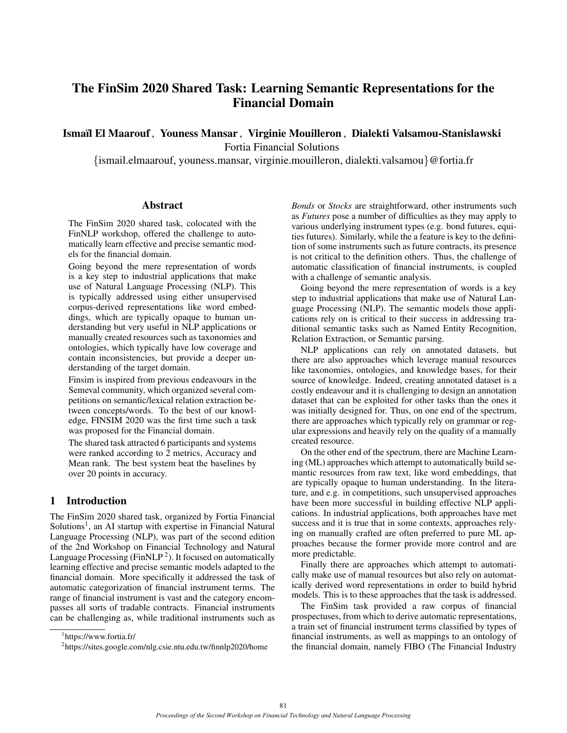# The FinSim 2020 Shared Task: Learning Semantic Representations for the Financial Domain

Ismaïl El Maarouf, Youness Mansar, Virginie Mouilleron, Dialekti Valsamou-Stanislawski

Fortia Financial Solutions

{ismail.elmaarouf, youness.mansar, virginie.mouilleron, dialekti.valsamou}@fortia.fr

#### **Abstract**

The FinSim 2020 shared task, colocated with the FinNLP workshop, offered the challenge to automatically learn effective and precise semantic models for the financial domain.

Going beyond the mere representation of words is a key step to industrial applications that make use of Natural Language Processing (NLP). This is typically addressed using either unsupervised corpus-derived representations like word embeddings, which are typically opaque to human understanding but very useful in NLP applications or manually created resources such as taxonomies and ontologies, which typically have low coverage and contain inconsistencies, but provide a deeper understanding of the target domain.

Finsim is inspired from previous endeavours in the Semeval community, which organized several competitions on semantic/lexical relation extraction between concepts/words. To the best of our knowledge, FINSIM 2020 was the first time such a task was proposed for the Financial domain.

The shared task attracted 6 participants and systems were ranked according to 2 metrics, Accuracy and Mean rank. The best system beat the baselines by over 20 points in accuracy.

# 1 Introduction

The FinSim 2020 shared task, organized by Fortia Financial Solutions<sup>[1](#page-0-0)</sup>, an AI startup with expertise in Financial Natural Language Processing (NLP), was part of the second edition of the 2nd Workshop on Financial Technology and Natural Language Processing (FinNLP<sup>[2](#page-0-1)</sup>). It focused on automatically learning effective and precise semantic models adapted to the financial domain. More specifically it addressed the task of automatic categorization of financial instrument terms. The range of financial instrument is vast and the category encompasses all sorts of tradable contracts. Financial instruments can be challenging as, while traditional instruments such as

*Bonds* or *Stocks* are straightforward, other instruments such as *Futures* pose a number of difficulties as they may apply to various underlying instrument types (e.g. bond futures, equities futures). Similarly, while the a feature is key to the definition of some instruments such as future contracts, its presence is not critical to the definition others. Thus, the challenge of automatic classification of financial instruments, is coupled with a challenge of semantic analysis.

Going beyond the mere representation of words is a key step to industrial applications that make use of Natural Language Processing (NLP). The semantic models those applications rely on is critical to their success in addressing traditional semantic tasks such as Named Entity Recognition, Relation Extraction, or Semantic parsing.

NLP applications can rely on annotated datasets, but there are also approaches which leverage manual resources like taxonomies, ontologies, and knowledge bases, for their source of knowledge. Indeed, creating annotated dataset is a costly endeavour and it is challenging to design an annotation dataset that can be exploited for other tasks than the ones it was initially designed for. Thus, on one end of the spectrum, there are approaches which typically rely on grammar or regular expressions and heavily rely on the quality of a manually created resource.

On the other end of the spectrum, there are Machine Learning (ML) approaches which attempt to automatically build semantic resources from raw text, like word embeddings, that are typically opaque to human understanding. In the literature, and e.g. in competitions, such unsupervised approaches have been more successful in building effective NLP applications. In industrial applications, both approaches have met success and it is true that in some contexts, approaches relying on manually crafted are often preferred to pure ML approaches because the former provide more control and are more predictable.

Finally there are approaches which attempt to automatically make use of manual resources but also rely on automatically derived word representations in order to build hybrid models. This is to these approaches that the task is addressed.

The FinSim task provided a raw corpus of financial prospectuses, from which to derive automatic representations, a train set of financial instrument terms classified by types of financial instruments, as well as mappings to an ontology of the financial domain, namely FIBO (The Financial Industry

<span id="page-0-0"></span><sup>1</sup> <https://www.fortia.fr/>

<span id="page-0-1"></span><sup>2</sup> <https://sites.google.com/nlg.csie.ntu.edu.tw/finnlp2020/home>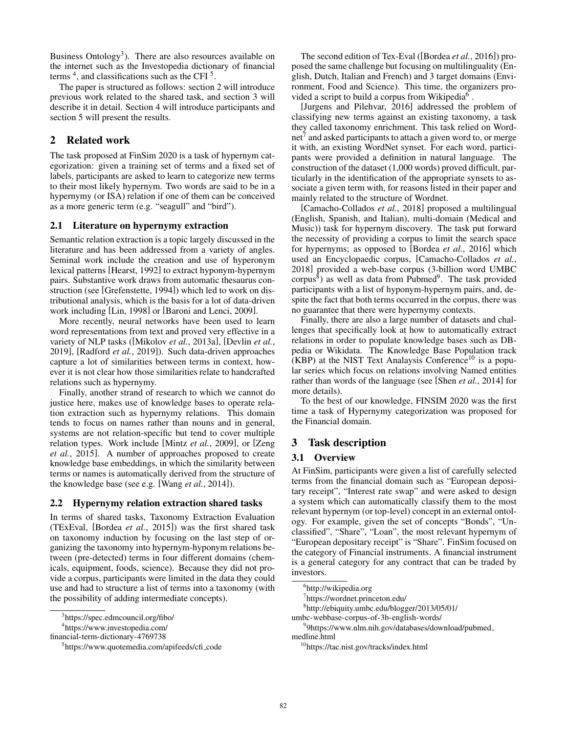Business Ontology<sup>[3](#page-1-0)</sup>). There are also resources available on the internet such as the Investopedia dictionary of financial terms  $4$ , and classifications such as the CFI $5$ .

The paper is structured as follows: section [2](#page-1-3) will introduce previous work related to the shared task, and section [3](#page-1-4) will describe it in detail. Section [4](#page-3-0) will introduce participants and section [5](#page-4-0) will present the results.

# <span id="page-1-3"></span>2 Related work

The task proposed at FinSim 2020 is a task of hypernym categorization: given a training set of terms and a fixed set of labels, participants are asked to learn to categorize new terms to their most likely hypernym. Two words are said to be in a hypernymy (or ISA) relation if one of them can be conceived as a more generic term (e.g. "seagull" and "bird").

## 2.1 Literature on hypernymy extraction

Semantic relation extraction is a topic largely discussed in the literature and has been addressed from a variety of angles. Seminal work include the creation and use of hyperonym lexical patterns [\[Hearst, 1992\]](#page-5-0) to extract hyponym-hypernym pairs. Substantive work draws from automatic thesaurus construction (see [\[Grefenstette, 1994\]](#page-5-1)) which led to work on distributional analysis, which is the basis for a lot of data-driven work including [\[Lin, 1998\]](#page-5-2) or [\[Baroni and Lenci, 2009\]](#page-5-3).

More recently, neural networks have been used to learn word representations from text and proved very effective in a variety of NLP tasks ([\[Mikolov](#page-5-4) *et al.*, 2013a], [\[Devlin](#page-5-5) *et al.*, [2019\]](#page-5-5), [\[Radford](#page-5-6) *et al.*, 2019]). Such data-driven approaches capture a lot of similarities between terms in context, however it is not clear how those similarities relate to handcrafted relations such as hypernymy.

Finally, another strand of research to which we cannot do justice here, makes use of knowledge bases to operate relation extraction such as hypernymy relations. This domain tends to focus on names rather than nouns and in general, systems are not relation-specific but tend to cover multiple relation types. Work include [Mintz *et al.*[, 2009\]](#page-5-7), or [\[Zeng](#page-5-8) *et al.*[, 2015\]](#page-5-8). A number of approaches proposed to create knowledge base embeddings, in which the similarity between terms or names is automatically derived from the structure of the knowledge base (see e.g. [Wang *et al.*[, 2014\]](#page-5-9)).

## 2.2 Hypernymy relation extraction shared tasks

In terms of shared tasks, Taxonomy Extraction Evaluation (TExEval, [\[Bordea](#page-5-10) *et al.*, 2015]) was the first shared task on taxonomy induction by focusing on the last step of organizing the taxonomy into hypernym-hyponym relations between (pre-detected) terms in four different domains (chemicals, equipment, foods, science). Because they did not provide a corpus, participants were limited in the data they could use and had to structure a list of terms into a taxonomy (with the possibility of adding intermediate concepts).

4 [https://www.investopedia.com/](https://www.investopedia.com/financial-term-dictionary-4769738)

[financial-term-dictionary-4769738](https://www.investopedia.com/financial-term-dictionary-4769738)

The second edition of Tex-Eval ([\[Bordea](#page-5-11) *et al.*, 2016]) proposed the same challenge but focusing on multilinguality (English, Dutch, Italian and French) and 3 target domains (Environment, Food and Science). This time, the organizers pro-vided a script to build a corpus from Wikipedia<sup>[6](#page-1-5)</sup>.

[\[Jurgens and Pilehvar, 2016\]](#page-5-12) addressed the problem of classifying new terms against an existing taxonomy, a task they called taxonomy enrichment. This task relied on Wordnet $^7$  $^7$  and asked participants to attach a given word to, or merge it with, an existing WordNet synset. For each word, participants were provided a definition in natural language. The construction of the dataset (1,000 words) proved difficult, particularly in the identification of the appropriate synsets to associate a given term with, for reasons listed in their paper and mainly related to the structure of Wordnet.

[\[Camacho-Collados](#page-5-13) *et al.*, 2018] proposed a multilingual (English, Spanish, and Italian), multi-domain (Medical and Music)) task for hypernym discovery. The task put forward the necessity of providing a corpus to limit the search space for hypernyms; as opposed to [\[Bordea](#page-5-11) *et al.*, 2016] which used an Encyclopaedic corpus, [\[Camacho-Collados](#page-5-13) *et al.*, [2018\]](#page-5-13) provided a web-base corpus (3-billion word UMBC corpus $\bar{s}$ ) as well as data from Pubmed<sup>[9](#page-1-8)</sup>. The task provided participants with a list of hyponym-hypernym pairs, and, despite the fact that both terms occurred in the corpus, there was no guarantee that there were hypernymy contexts.

Finally, there are also a large number of datasets and challenges that specifically look at how to automatically extract relations in order to populate knowledge bases such as DBpedia or Wikidata. The Knowledge Base Population track (KBP) at the NIST Text Analaysis Conference<sup>[10](#page-1-9)</sup> is a popular series which focus on relations involving Named entities rather than words of the language (see [Shen *et al.*[, 2014\]](#page-5-14) for more details).

To the best of our knowledge, FINSIM 2020 was the first time a task of Hypernymy categorization was proposed for the Financial domain.

## <span id="page-1-4"></span>3 Task description

## 3.1 Overview

At FinSim, participants were given a list of carefully selected terms from the financial domain such as "European depositary receipt", "Interest rate swap" and were asked to design a system which can automatically classify them to the most relevant hypernym (or top-level) concept in an external ontology. For example, given the set of concepts "Bonds", "Unclassified", "Share", "Loan", the most relevant hypernym of "European depositary receipt" is "Share". FinSim focused on the category of Financial instruments. A financial instrument is a general category for any contract that can be traded by investors.

<span id="page-1-1"></span><span id="page-1-0"></span><sup>3</sup> <https://spec.edmcouncil.org/fibo/>

<span id="page-1-2"></span><sup>5</sup> [https://www.quotemedia.com/apifeeds/cfi](https://www.quotemedia.com/apifeeds/cfi_code) code

<span id="page-1-5"></span><sup>6</sup> <http://wikipedia.org>

<span id="page-1-6"></span><sup>7</sup> <https://wordnet.princeton.edu/>

<span id="page-1-7"></span><sup>8</sup> [http://ebiquity.umbc.edu/blogger/2013/05/01/](http://ebiquity.umbc.edu/blogger/2013/05/01/umbc-webbase-corpus-of-3b-english-words/)

[umbc-webbase-corpus-of-3b-english-words/](http://ebiquity.umbc.edu/blogger/2013/05/01/umbc-webbase-corpus-of-3b-english-words/)

<span id="page-1-8"></span><sup>9</sup> [9https://www.nlm.nih.gov/databases/download/pubmed](9https://www.nlm.nih.gov/databases/download/pubmed_medline.html) [medline.html](9https://www.nlm.nih.gov/databases/download/pubmed_medline.html)

<span id="page-1-9"></span><sup>10</sup><https://tac.nist.gov/tracks/index.html>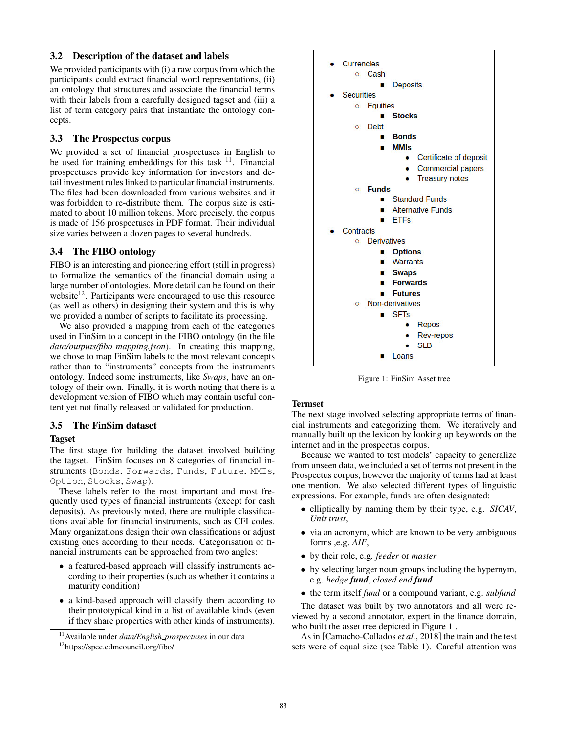#### 3.2 Description of the dataset and labels

We provided participants with (i) a raw corpus from which the participants could extract financial word representations, (ii) an ontology that structures and associate the financial terms with their labels from a carefully designed tagset and (iii) a list of term category pairs that instantiate the ontology concepts.

## 3.3 The Prospectus corpus

We provided a set of financial prospectuses in English to be used for training embeddings for this task  $11$ . Financial prospectuses provide key information for investors and detail investment rules linked to particular financial instruments. The files had been downloaded from various websites and it was forbidden to re-distribute them. The corpus size is estimated to about 10 million tokens. More precisely, the corpus is made of 156 prospectuses in PDF format. Their individual size varies between a dozen pages to several hundreds.

## 3.4 The FIBO ontology

FIBO is an interesting and pioneering effort (still in progress) to formalize the semantics of the financial domain using a large number of ontologies. More detail can be found on their website<sup>[12](#page-2-1)</sup>. Participants were encouraged to use this resource (as well as others) in designing their system and this is why we provided a number of scripts to facilitate its processing.

We also provided a mapping from each of the categories used in FinSim to a concept in the FIBO ontology (in the file *data/outputs/fibo mapping.json*). In creating this mapping, we chose to map FinSim labels to the most relevant concepts rather than to "instruments" concepts from the instruments ontology. Indeed some instruments, like *Swaps*, have an ontology of their own. Finally, it is worth noting that there is a development version of FIBO which may contain useful content yet not finally released or validated for production.

## 3.5 The FinSim dataset

#### Tagset

The first stage for building the dataset involved building the tagset. FinSim focuses on 8 categories of financial instruments (Bonds, Forwards, Funds, Future, MMIs, Option, Stocks, Swap).

These labels refer to the most important and most frequently used types of financial instruments (except for cash deposits). As previously noted, there are multiple classifications available for financial instruments, such as CFI codes. Many organizations design their own classifications or adjust existing ones according to their needs. Categorisation of financial instruments can be approached from two angles:

- a featured-based approach will classify instruments according to their properties (such as whether it contains a maturity condition)
- a kind-based approach will classify them according to their prototypical kind in a list of available kinds (even if they share properties with other kinds of instruments).

<span id="page-2-0"></span>

<span id="page-2-1"></span><sup>12</sup><https://spec.edmcouncil.org/fibo/>

<span id="page-2-2"></span>

Figure 1: FinSim Asset tree

#### Termset

The next stage involved selecting appropriate terms of financial instruments and categorizing them. We iteratively and manually built up the lexicon by looking up keywords on the internet and in the prospectus corpus.

Because we wanted to test models' capacity to generalize from unseen data, we included a set of terms not present in the Prospectus corpus, however the majority of terms had at least one mention. We also selected different types of linguistic expressions. For example, funds are often designated:

- elliptically by naming them by their type, e.g. *SICAV*, *Unit trust*,
- via an acronym, which are known to be very ambiguous forms ,e.g. *AIF*,
- by their role, e.g. *feeder* or *master*
- by selecting larger noun groups including the hypernym, e.g. *hedge fund*, *closed end fund*
- the term itself *fund* or a compound variant, e.g. *subfund*

The dataset was built by two annotators and all were reviewed by a second annotator, expert in the finance domain, who built the asset tree depicted in Figure [1](#page-2-2) .

As in [\[Camacho-Collados](#page-5-13) *et al.*, 2018] the train and the test sets were of equal size (see Table [1\)](#page-3-1). Careful attention was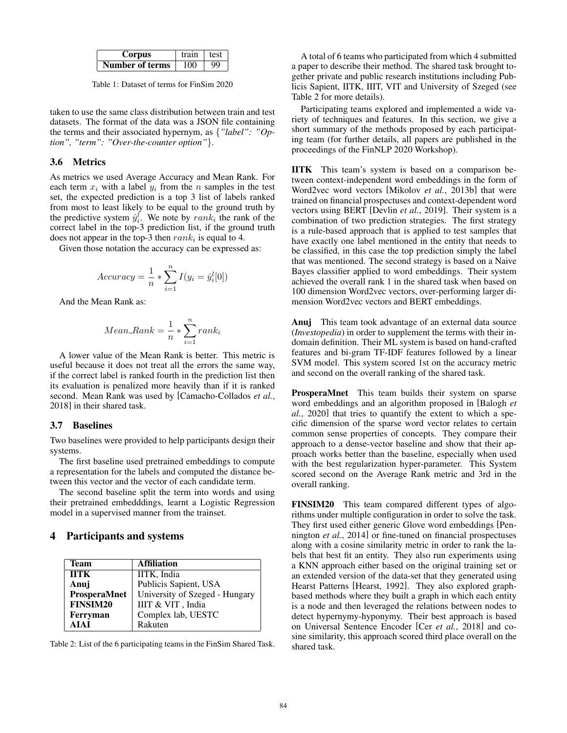<span id="page-3-1"></span>

| Corpus          | train | test      |
|-----------------|-------|-----------|
| Number of terms | 100   | <b>QQ</b> |

Table 1: Dataset of terms for FinSim 2020

taken to use the same class distribution between train and test datasets. The format of the data was a JSON file containing the terms and their associated hypernym, as {*"label": "Option", "term": "Over-the-counter option"*}.

## <span id="page-3-3"></span>3.6 Metrics

As metrics we used Average Accuracy and Mean Rank. For each term  $x_i$  with a label  $y_i$  from the n samples in the test set, the expected prediction is a top 3 list of labels ranked from most to least likely to be equal to the ground truth by the predictive system  $\hat{y}_i^l$ . We note by  $rank_i$  the rank of the correct label in the top-3 prediction list, if the ground truth does not appear in the top-3 then  $rank_i$  is equal to 4.

Given those notation the accuracy can be expressed as:

$$
Accuracy = \frac{1}{n} * \sum_{i=1}^{n} I(y_i = \hat{y}_i^l[0])
$$

And the Mean Rank as:

$$
Mean\_Rank = \frac{1}{n} * \sum_{i=1}^{n} rank_i
$$

A lower value of the Mean Rank is better. This metric is useful because it does not treat all the errors the same way, if the correct label is ranked fourth in the prediction list then its evaluation is penalized more heavily than if it is ranked second. Mean Rank was used by [\[Camacho-Collados](#page-5-13) *et al.*, [2018\]](#page-5-13) in their shared task.

#### 3.7 Baselines

Two baselines were provided to help participants design their systems.

The first baseline used pretrained embeddings to compute a representation for the labels and computed the distance between this vector and the vector of each candidate term.

The second baseline split the term into words and using their pretrained embedddings, learnt a Logistic Regression model in a supervised manner from the trainset.

## <span id="page-3-0"></span>4 Participants and systems

<span id="page-3-2"></span>

| Team            | <b>Affiliation</b>             |
|-----------------|--------------------------------|
| <b>IITK</b>     | IITK, India                    |
| Anuj            | Publicis Sapient, USA          |
| ProsperaMnet    | University of Szeged - Hungary |
| <b>FINSIM20</b> | IIIT & VIT, India              |
| Ferryman        | Complex lab, UESTC             |
| AIAI            | Rakuten                        |

Table 2: List of the 6 participating teams in the FinSim Shared Task.

A total of 6 teams who participated from which 4 submitted a paper to describe their method. The shared task brought together private and public research institutions including Publicis Sapient, IITK, IIIT, VIT and University of Szeged (see Table [2](#page-3-2) for more details).

Participating teams explored and implemented a wide variety of techniques and features. In this section, we give a short summary of the methods proposed by each participating team (for further details, all papers are published in the proceedings of the FinNLP 2020 Workshop).

IITK This team's system is based on a comparison between context-independent word embeddings in the form of Word2vec word vectors [\[Mikolov](#page-5-15) *et al.*, 2013b] that were trained on financial prospectuses and context-dependent word vectors using BERT [\[Devlin](#page-5-5) *et al.*, 2019]. Their system is a combination of two prediction strategies. The first strategy is a rule-based approach that is applied to test samples that have exactly one label mentioned in the entity that needs to be classified, in this case the top prediction simply the label that was mentioned. The second strategy is based on a Naive Bayes classifier applied to word embeddings. Their system achieved the overall rank 1 in the shared task when based on 100 dimension Word2vec vectors, over-performing larger dimension Word2vec vectors and BERT embeddings.

Anuj This team took advantage of an external data source (*Investopedia*) in order to supplement the terms with their indomain definition. Their ML system is based on hand-crafted features and bi-gram TF-IDF features followed by a linear SVM model. This system scored 1st on the accuracy metric and second on the overall ranking of the shared task.

ProsperaMnet This team builds their system on sparse word embeddings and an algorithm proposed in [\[Balogh](#page-4-1) *et al.*[, 2020\]](#page-4-1) that tries to quantify the extent to which a specific dimension of the sparse word vector relates to certain common sense properties of concepts. They compare their approach to a dense-vector baseline and show that their approach works better than the baseline, especially when used with the best regularization hyper-parameter. This System scored second on the Average Rank metric and 3rd in the overall ranking.

FINSIM20 This team compared different types of algorithms under multiple configuration in order to solve the task. They first used either generic Glove word embeddings [\[Pen](#page-5-16)[nington](#page-5-16) *et al.*, 2014] or fine-tuned on financial prospectuses along with a cosine similarity metric in order to rank the labels that best fit an entity. They also run experiments using a KNN approach either based on the original training set or an extended version of the data-set that they generated using Hearst Patterns [\[Hearst, 1992\]](#page-5-0). They also explored graphbased methods where they built a graph in which each entity is a node and then leveraged the relations between nodes to detect hypernymy-hyponymy. Their best approach is based on Universal Sentence Encoder [Cer *et al.*[, 2018\]](#page-5-17) and cosine similarity, this approach scored third place overall on the shared task.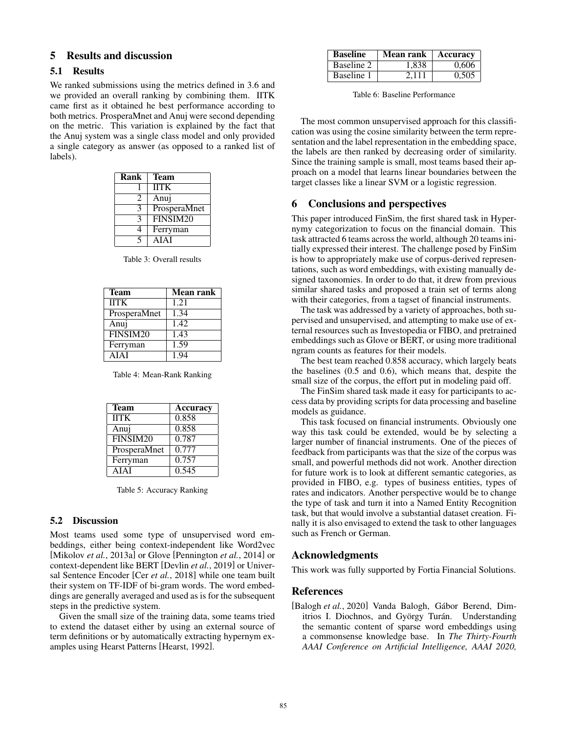# <span id="page-4-0"></span>5 Results and discussion

#### 5.1 Results

We ranked submissions using the metrics defined in [3.6](#page-3-3) and we provided an overall ranking by combining them. IITK came first as it obtained he best performance according to both metrics. ProsperaMnet and Anuj were second depending on the metric. This variation is explained by the fact that the Anuj system was a single class model and only provided a single category as answer (as opposed to a ranked list of labels).

| Rank | <b>Team</b>  |
|------|--------------|
|      | <b>IITK</b>  |
| 2    | Anuj         |
|      | ProsperaMnet |
|      | FINSIM20     |
|      | Ferryman     |
|      | <b>AIAI</b>  |

Table 3: Overall results

| <b>Team</b>  | <b>Mean rank</b>   |
|--------------|--------------------|
| <b>IITK</b>  | 1.21               |
| ProsperaMnet | 1.34               |
| Anuj         | 1.42               |
| FINSIM20     | 1.43               |
| Ferryman     | $\overline{1}$ .59 |
| <b>AIAT</b>  | 194                |

Table 4: Mean-Rank Ranking

| <b>Team</b>  | Accuracy |
|--------------|----------|
| <b>IITK</b>  | 0.858    |
| Anui         | 0.858    |
| FINSIM20     | 0.787    |
| ProsperaMnet | 0.777    |
| Ferryman     | 0.757    |
| AIAI         | 0.545    |

Table 5: Accuracy Ranking

#### 5.2 Discussion

Most teams used some type of unsupervised word embeddings, either being context-independent like Word2vec [\[Mikolov](#page-5-4) *et al.*, 2013a] or Glove [\[Pennington](#page-5-16) *et al.*, 2014] or context-dependent like BERT [\[Devlin](#page-5-5) *et al.*, 2019] or Universal Sentence Encoder [Cer *et al.*[, 2018\]](#page-5-17) while one team built their system on TF-IDF of bi-gram words. The word embeddings are generally averaged and used as is for the subsequent steps in the predictive system.

Given the small size of the training data, some teams tried to extend the dataset either by using an external source of term definitions or by automatically extracting hypernym examples using Hearst Patterns [\[Hearst, 1992\]](#page-5-0).

| <b>Baseline</b> | Mean rank | Accuracy |
|-----------------|-----------|----------|
| Baseline 2      | 1.838     | 0.606    |
| Baseline 1      | 2.111     | 0,505    |

Table 6: Baseline Performance

The most common unsupervised approach for this classification was using the cosine similarity between the term representation and the label representation in the embedding space, the labels are then ranked by decreasing order of similarity. Since the training sample is small, most teams based their approach on a model that learns linear boundaries between the target classes like a linear SVM or a logistic regression.

## 6 Conclusions and perspectives

This paper introduced FinSim, the first shared task in Hypernymy categorization to focus on the financial domain. This task attracted 6 teams across the world, although 20 teams initially expressed their interest. The challenge posed by FinSim is how to appropriately make use of corpus-derived representations, such as word embeddings, with existing manually designed taxonomies. In order to do that, it drew from previous similar shared tasks and proposed a train set of terms along with their categories, from a tagset of financial instruments.

The task was addressed by a variety of approaches, both supervised and unsupervised, and attempting to make use of external resources such as Investopedia or FIBO, and pretrained embeddings such as Glove or BERT, or using more traditional ngram counts as features for their models.

The best team reached 0.858 accuracy, which largely beats the baselines (0.5 and 0.6), which means that, despite the small size of the corpus, the effort put in modeling paid off.

The FinSim shared task made it easy for participants to access data by providing scripts for data processing and baseline models as guidance.

This task focused on financial instruments. Obviously one way this task could be extended, would be by selecting a larger number of financial instruments. One of the pieces of feedback from participants was that the size of the corpus was small, and powerful methods did not work. Another direction for future work is to look at different semantic categories, as provided in FIBO, e.g. types of business entities, types of rates and indicators. Another perspective would be to change the type of task and turn it into a Named Entity Recognition task, but that would involve a substantial dataset creation. Finally it is also envisaged to extend the task to other languages such as French or German.

## Acknowledgments

This work was fully supported by Fortia Financial Solutions.

#### References

<span id="page-4-1"></span>[Balogh et al., 2020] Vanda Balogh, Gábor Berend, Dimitrios I. Diochnos, and György Turán. Understanding the semantic content of sparse word embeddings using a commonsense knowledge base. In *The Thirty-Fourth AAAI Conference on Artificial Intelligence, AAAI 2020,*